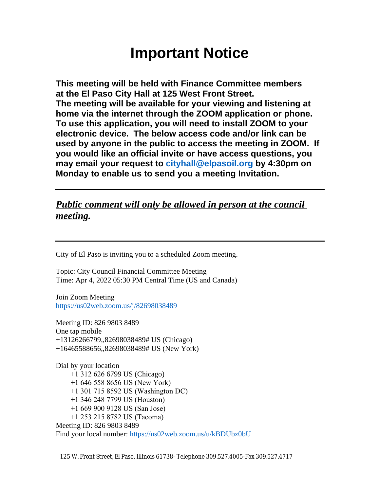# **Important Notice**

**This meeting will be held with Finance Committee members at the El Paso City Hall at 125 West Front Street. The meeting will be available for your viewing and listening at home via the internet through the ZOOM application or phone. To use this application, you will need to install ZOOM to your electronic device. The below access code and/or link can be used by anyone in the public to access the meeting in ZOOM. If you would like an official invite or have access questions, you may email your request to [cityhall@elpasoil.org](mailto:cityhall@elpasoil.org) by 4:30pm on Monday to enable us to send you a meeting Invitation.**

### *Public comment will only be allowed in person at the council meeting.*

City of El Paso is inviting you to a scheduled Zoom meeting.

Topic: City Council Financial Committee Meeting Time: Apr 4, 2022 05:30 PM Central Time (US and Canada)

Join Zoom Meeting <https://us02web.zoom.us/j/82698038489>

Meeting ID: 826 9803 8489 One tap mobile +13126266799,,82698038489# US (Chicago) +16465588656,,82698038489# US (New York)

Dial by your location +1 312 626 6799 US (Chicago) +1 646 558 8656 US (New York) +1 301 715 8592 US (Washington DC) +1 346 248 7799 US (Houston) +1 669 900 9128 US (San Jose) +1 253 215 8782 US (Tacoma) Meeting ID: 826 9803 8489 Find your local number:<https://us02web.zoom.us/u/kBDUbz0bU>

125 W. Front Street, El Paso, Illinois 61738- Telephone 309.527.4005-Fax 309.527.4717